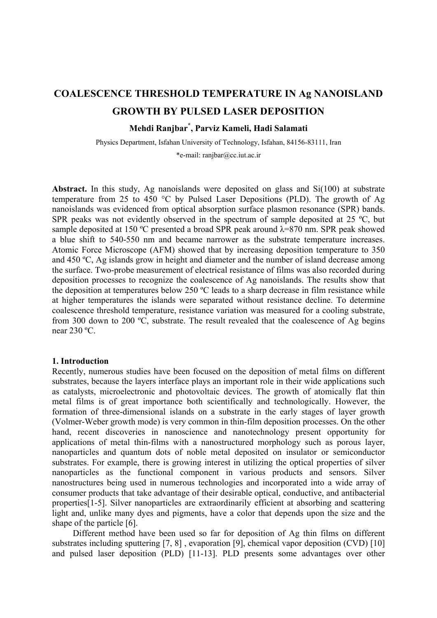# **COALESCENCE THRESHOLD TEMPERATURE IN Ag NANOISLAND GROWTH BY PULSED LASER DEPOSITION**

# **Mehdi Ranjbar\* , Parviz Kameli, Hadi Salamati**

Physics Department, Isfahan University of Technology, Isfahan, 84156-83111, Iran \*e-mail: ranjbar@cc.iut.ac.ir

**Abstract.** In this study, Ag nanoislands were deposited on glass and Si(100) at substrate temperature from 25 to 450 °C by Pulsed Laser Depositions (PLD). The growth of Ag nanoislands was evidenced from optical absorption surface plasmon resonance (SPR) bands. SPR peaks was not evidently observed in the spectrum of sample deposited at 25 °C, but sample deposited at 150 °C presented a broad SPR peak around  $\lambda$ =870 nm. SPR peak showed a blue shift to 540-550 nm and became narrower as the substrate temperature increases. Atomic Force Microscope (AFM) showed that by increasing deposition temperature to 350 and 450 ºC, Ag islands grow in height and diameter and the number of island decrease among the surface. Two-probe measurement of electrical resistance of films was also recorded during deposition processes to recognize the coalescence of Ag nanoislands. The results show that the deposition at temperatures below 250 ºC leads to a sharp decrease in film resistance while at higher temperatures the islands were separated without resistance decline. To determine coalescence threshold temperature, resistance variation was measured for a cooling substrate, from 300 down to 200 ºC, substrate. The result revealed that the coalescence of Ag begins near 230 ºC.

#### **1. Introduction**

Recently, numerous studies have been focused on the deposition of metal films on different substrates, because the layers interface plays an important role in their wide applications such as catalysts, microelectronic and photovoltaic devices. The growth of atomically flat thin metal films is of great importance both scientifically and technologically. However, the formation of three-dimensional islands on a substrate in the early stages of layer growth (Volmer-Weber growth mode) is very common in thin-film deposition processes. On the other hand, recent discoveries in nanoscience and nanotechnology present opportunity for applications of metal thin-films with a nanostructured morphology such as porous layer, nanoparticles and quantum dots of noble metal deposited on insulator or semiconductor substrates. For example, there is growing interest in utilizing the optical properties of silver nanoparticles as the functional component in various products and sensors. Silver nanostructures being used in numerous technologies and incorporated into a wide array of consumer products that take advantage of their desirable optical, conductive, and antibacterial properties[1-5]. Silver nanoparticles are extraordinarily efficient at absorbing and scattering light and, unlike many dyes and pigments, have a color that depends upon the size and the shape of the particle [6].

Different method have been used so far for deposition of Ag thin films on different substrates including sputtering [7, 8] , evaporation [9], chemical vapor deposition (CVD) [10] and pulsed laser deposition (PLD) [11-13]. PLD presents some advantages over other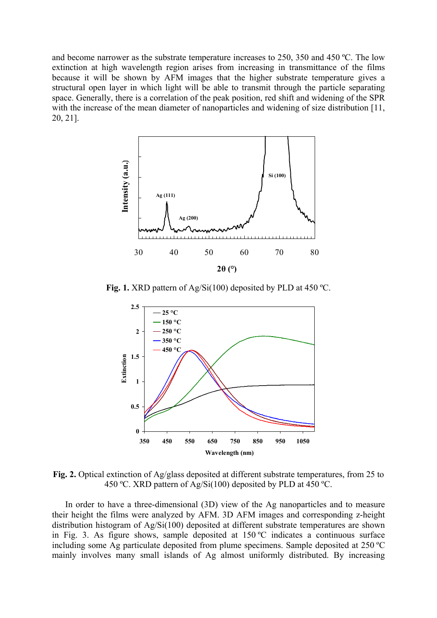and become narrower as the substrate temperature increases to 250, 350 and 450 ºC. The low extinction at high wavelength region arises from increasing in transmittance of the films because it will be shown by AFM images that the higher substrate temperature gives a structural open layer in which light will be able to transmit through the particle separating space. Generally, there is a correlation of the peak position, red shift and widening of the SPR with the increase of the mean diameter of nanoparticles and widening of size distribution [11, 20, 21].



**Fig. 1.** XRD pattern of Ag/Si(100) deposited by PLD at 450 ºC.



**Fig. 2.** Optical extinction of Ag/glass deposited at different substrate temperatures, from 25 to 450 °C. XRD pattern of Ag/Si(100) deposited by PLD at 450 °C.

In order to have a three-dimensional (3D) view of the Ag nanoparticles and to measure their height the films were analyzed by AFM. 3D AFM images and corresponding z-height distribution histogram of Ag/Si(100) deposited at different substrate temperatures are shown in Fig. 3. As figure shows, sample deposited at 150 ºC indicates a continuous surface including some Ag particulate deposited from plume specimens. Sample deposited at 250 ºC mainly involves many small islands of Ag almost uniformly distributed. By increasing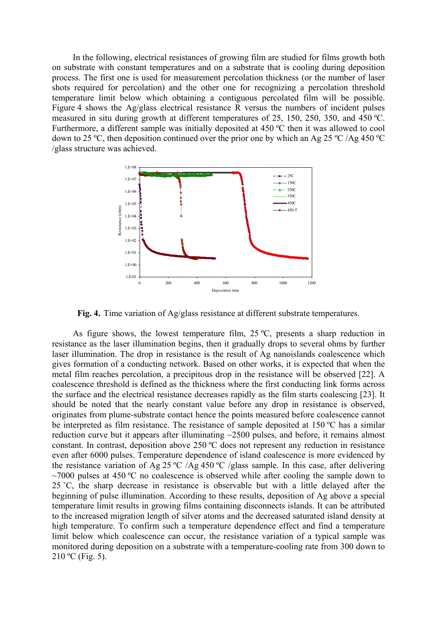In the following, electrical resistances of growing film are studied for films growth both on substrate with constant temperatures and on a substrate that is cooling during deposition process. The first one is used for measurement percolation thickness (or the number of laser shots required for percolation) and the other one for recognizing a percolation threshold temperature limit below which obtaining a contiguous percolated film will be possible. Figure 4 shows the Ag/glass electrical resistance R versus the numbers of incident pulses measured in situ during growth at different temperatures of 25, 150, 250, 350, and 450 ºC. Furthermore, a different sample was initially deposited at 450 ºC then it was allowed to cool down to 25 ºC, then deposition continued over the prior one by which an Ag 25 ºC /Ag 450 ºC /glass structure was achieved.



**Fig. 4.** Time variation of Ag/glass resistance at different substrate temperatures.

As figure shows, the lowest temperature film,  $25 \text{ °C}$ , presents a sharp reduction in resistance as the laser illumination begins, then it gradually drops to several ohms by further laser illumination. The drop in resistance is the result of Ag nanoislands coalescence which gives formation of a conducting network. Based on other works, it is expected that when the metal film reaches percolation, a precipitous drop in the resistance will be observed [22]. A coalescence threshold is defined as the thickness where the first conducting link forms across the surface and the electrical resistance decreases rapidly as the film starts coalescing [23]. It should be noted that the nearly constant value before any drop in resistance is observed, originates from plume-substrate contact hence the points measured before coalescence cannot be interpreted as film resistance. The resistance of sample deposited at 150 ºC has a similar reduction curve but it appears after illuminating ~2500 pulses, and before, it remains almost constant. In contrast, deposition above 250 ºC does not represent any reduction in resistance even after 6000 pulses. Temperature dependence of island coalescence is more evidenced by the resistance variation of Ag 25 ºC /Ag 450 ºC /glass sample. In this case, after delivering  $\sim$ 7000 pulses at 450 °C no coalescence is observed while after cooling the sample down to 25 ˚C, the sharp decrease in resistance is observable but with a little delayed after the beginning of pulse illumination. According to these results, deposition of Ag above a special temperature limit results in growing films containing disconnects islands. It can be attributed to the increased migration length of silver atoms and the decreased saturated island density at high temperature. To confirm such a temperature dependence effect and find a temperature limit below which coalescence can occur, the resistance variation of a typical sample was monitored during deposition on a substrate with a temperature-cooling rate from 300 down to  $210 °C$  (Fig. 5).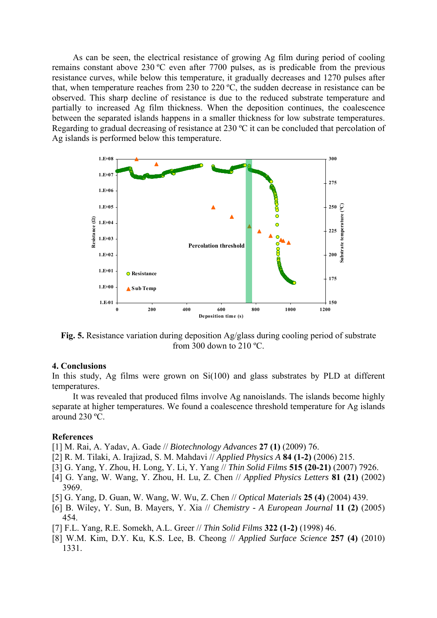As can be seen, the electrical resistance of growing Ag film during period of cooling remains constant above 230 ºC even after 7700 pulses, as is predicable from the previous resistance curves, while below this temperature, it gradually decreases and 1270 pulses after that, when temperature reaches from 230 to 220 ºC, the sudden decrease in resistance can be observed. This sharp decline of resistance is due to the reduced substrate temperature and partially to increased Ag film thickness. When the deposition continues, the coalescence between the separated islands happens in a smaller thickness for low substrate temperatures. Regarding to gradual decreasing of resistance at 230 ºC it can be concluded that percolation of Ag islands is performed below this temperature.



**Fig. 5.** Resistance variation during deposition Ag/glass during cooling period of substrate from 300 down to 210  $^{\circ}$ C.

## **4. Conclusions**

In this study, Ag films were grown on  $Si(100)$  and glass substrates by PLD at different temperatures.

It was revealed that produced films involve Ag nanoislands. The islands become highly separate at higher temperatures. We found a coalescence threshold temperature for Ag islands around 230 ºC.

## **References**

[1] M. Rai, A. Yadav, A. Gade // *Biotechnology Advances* **27 (1)** (2009) 76.

- [2] R. M. Tilaki, A. Irajizad, S. M. Mahdavi // *Applied Physics A* **84 (1-2)** (2006) 215.
- [3] G. Yang, Y. Zhou, H. Long, Y. Li, Y. Yang // *Thin Solid Films* **515 (20-21)** (2007) 7926.
- [4] G. Yang, W. Wang, Y. Zhou, H. Lu, Z. Chen // *Applied Physics Letters* **81 (21)** (2002) 3969.
- [5] G. Yang, D. Guan, W. Wang, W. Wu, Z. Chen // *Optical Materials* **25 (4)** (2004) 439.
- [6] B. Wiley, Y. Sun, B. Mayers, Y. Xia // *Chemistry A European Journal* **11 (2)** (2005) 454.
- [7] F.L. Yang, R.E. Somekh, A.L. Greer // *Thin Solid Films* **322 (1-2)** (1998) 46.
- [8] W.M. Kim, D.Y. Ku, K.S. Lee, B. Cheong // *Applied Surface Science* **257 (4)** (2010) 1331.